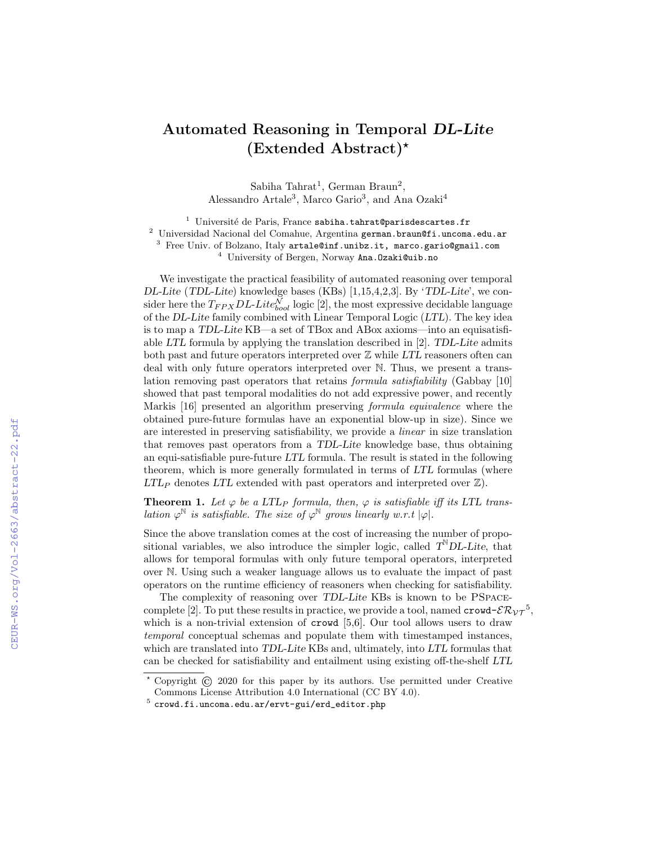## Automated Reasoning in Temporal DL-Lite (Extended Abstract)?

Sabiha Tahrat<sup>1</sup>, German Braun<sup>2</sup>, Alessandro Artale<sup>3</sup>, Marco Gario<sup>3</sup>, and Ana Ozaki<sup>4</sup>

 $1$  Université de Paris, France sabiha.tahrat@parisdescartes.fr

 $^2$  Universidad Nacional del Comahue, Argentina german.braun@fi.uncoma.edu.ar

 $^3$  Free Univ. of Bolzano, Italy  $\tt artale@inf.unibz.it$ , marco.gario@gmail.com

<sup>4</sup> University of Bergen, Norway Ana. Ozaki@uib.no

We investigate the practical feasibility of automated reasoning over temporal DL-Lite (TDL-Lite) knowledge bases (KBs) [1,15,4,2,3]. By 'TDL-Lite', we consider here the  $T_{FPX}DL\text{-}Lite_{bool}^{\mathcal{N}}$  logic [2], the most expressive decidable language of the DL-Lite family combined with Linear Temporal Logic (LTL). The key idea is to map a TDL-Lite KB—a set of TBox and ABox axioms—into an equisatisfiable LTL formula by applying the translation described in [2]. TDL-Lite admits both past and future operators interpreted over  $\mathbb Z$  while LTL reasoners often can deal with only future operators interpreted over N. Thus, we present a translation removing past operators that retains formula satisfiability (Gabbay [10] showed that past temporal modalities do not add expressive power, and recently Markis [16] presented an algorithm preserving formula equivalence where the obtained pure-future formulas have an exponential blow-up in size). Since we are interested in preserving satisfiability, we provide a linear in size translation that removes past operators from a TDL-Lite knowledge base, thus obtaining an equi-satisfiable pure-future LTL formula. The result is stated in the following theorem, which is more generally formulated in terms of LTL formulas (where  $LTL_P$  denotes  $LTL$  extended with past operators and interpreted over  $\mathbb{Z}$ ).

**Theorem 1.** Let  $\varphi$  be a LTL<sub>P</sub> formula, then,  $\varphi$  is satisfiable iff its LTL translation  $\varphi^{\mathbb{N}}$  is satisfiable. The size of  $\varphi^{\mathbb{N}}$  grows linearly w.r.t  $|\varphi|$ .

Since the above translation comes at the cost of increasing the number of propositional variables, we also introduce the simpler logic, called  $T^{\mathbb{N}}DL\text{-}Lite$ , that allows for temporal formulas with only future temporal operators, interpreted over N. Using such a weaker language allows us to evaluate the impact of past operators on the runtime efficiency of reasoners when checking for satisfiability.

The complexity of reasoning over TDL-Lite KBs is known to be PSpacecomplete [2]. To put these results in practice, we provide a tool, named  $\text{crowd-}\mathcal{ER}_{\mathcal{VT}}^{-5}$ , which is a non-trivial extension of **crowd** [5,6]. Our tool allows users to draw temporal conceptual schemas and populate them with timestamped instances, which are translated into TDL-Lite KBs and, ultimately, into LTL formulas that can be checked for satisfiability and entailment using existing off-the-shelf LTL

<sup>?</sup> Copyright © 2020 for this paper by its authors. Use permitted under Creative Commons License Attribution 4.0 International (CC BY 4.0).

 $^5$  crowd.fi.uncoma.edu.ar/ervt-gui/erd\_editor.php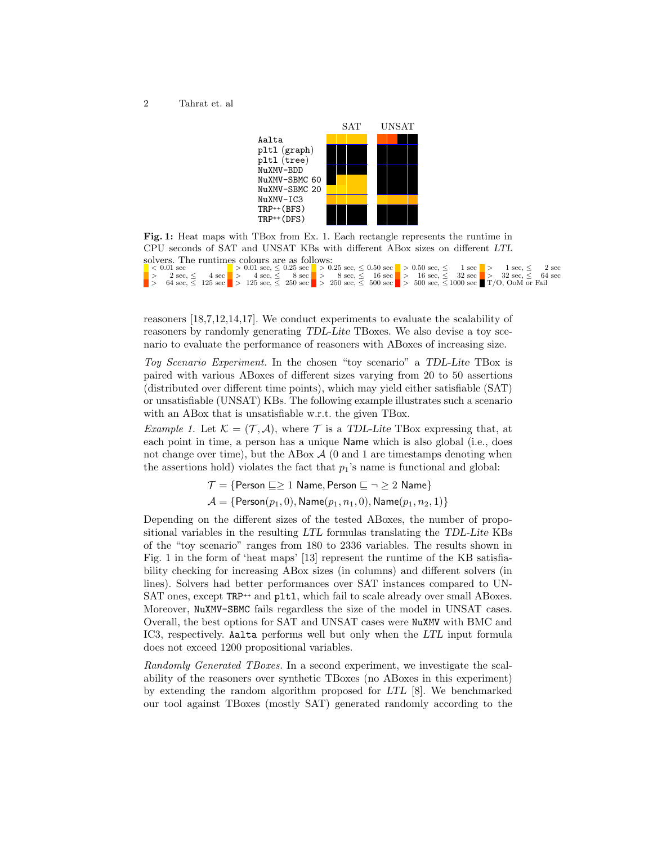

Fig. 1: Heat maps with TBox from Ex. 1. Each rectangle represents the runtime in CPU seconds of SAT and UNSAT KBs with different ABox sizes on different LTL solvers. The runtimes colours are as follows:  $1.001$  sec<br>  $2 \sec \le 0.01$  sec,  $\le 0.25$  sec  $> 0.25$  sec,  $\le 0.50$  sec  $> 0.50$  sec,  $\le 1$  sec  $> 1$  sec,  $\le 2$  sec<br>  $> 2 \sec \le 4$  sec  $> 4 \sec \le 125$  sec,  $\le 8 \sec \le 16$  sec,  $\le 16 \sec \le 16$  sec,  $\le 32$  sec  $> 32 \sec \le 32$ 

reasoners [18,7,12,14,17]. We conduct experiments to evaluate the scalability of reasoners by randomly generating TDL-Lite TBoxes. We also devise a toy scenario to evaluate the performance of reasoners with ABoxes of increasing size.

Toy Scenario Experiment. In the chosen "toy scenario" a TDL-Lite TBox is paired with various ABoxes of different sizes varying from 20 to 50 assertions (distributed over different time points), which may yield either satisfiable (SAT) or unsatisfiable (UNSAT) KBs. The following example illustrates such a scenario with an ABox that is unsatisfiable w.r.t. the given TBox.

*Example 1.* Let  $\mathcal{K} = (\mathcal{T}, \mathcal{A})$ , where  $\mathcal{T}$  is a TDL-Lite TBox expressing that, at each point in time, a person has a unique Name which is also global (i.e., does not change over time), but the ABox  $\mathcal{A}$  (0 and 1 are timestamps denoting when the assertions hold) violates the fact that  $p_1$ 's name is functional and global:

> $\mathcal{T} = \{$ Person  $\sqsubseteq \geq 1$  Name, Person  $\sqsubseteq \neg \geq 2$  Name}  $\mathcal{A} = \{ \text{Person}(p_1, 0), \text{Name}(p_1, n_1, 0), \text{Name}(p_1, n_2, 1) \}$

Depending on the different sizes of the tested ABoxes, the number of propositional variables in the resulting LTL formulas translating the TDL-Lite KBs of the "toy scenario" ranges from 180 to 2336 variables. The results shown in Fig. 1 in the form of 'heat maps' [13] represent the runtime of the KB satisfiability checking for increasing ABox sizes (in columns) and different solvers (in lines). Solvers had better performances over SAT instances compared to UN-SAT ones, except TRP<sup>++</sup> and pltl, which fail to scale already over small ABoxes. Moreover, NuXMV-SBMC fails regardless the size of the model in UNSAT cases. Overall, the best options for SAT and UNSAT cases were NuXMV with BMC and IC3, respectively. Aalta performs well but only when the LTL input formula does not exceed 1200 propositional variables.

Randomly Generated TBoxes. In a second experiment, we investigate the scalability of the reasoners over synthetic TBoxes (no ABoxes in this experiment) by extending the random algorithm proposed for LTL [8]. We benchmarked our tool against TBoxes (mostly SAT) generated randomly according to the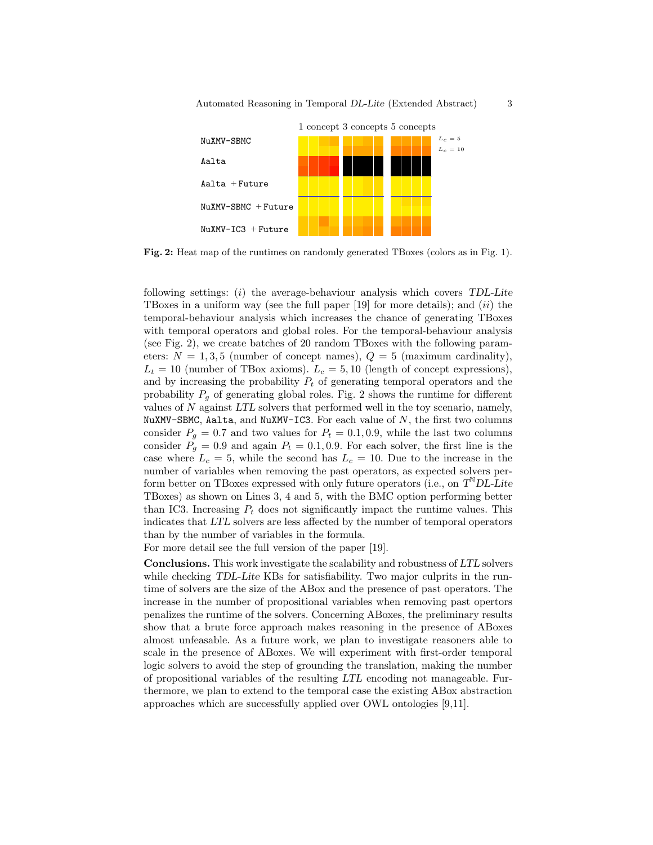

Fig. 2: Heat map of the runtimes on randomly generated TBoxes (colors as in Fig. 1).

following settings: (i) the average-behaviour analysis which covers TDL-Lite TBoxes in a uniform way (see the full paper  $[19]$  for more details); and  $(ii)$  the temporal-behaviour analysis which increases the chance of generating TBoxes with temporal operators and global roles. For the temporal-behaviour analysis (see Fig. 2), we create batches of 20 random TBoxes with the following parameters:  $N = 1, 3, 5$  (number of concept names),  $Q = 5$  (maximum cardinality),  $L_t = 10$  (number of TBox axioms).  $L_c = 5, 10$  (length of concept expressions), and by increasing the probability  $P_t$  of generating temporal operators and the probability  $P<sub>q</sub>$  of generating global roles. Fig. 2 shows the runtime for different values of N against LTL solvers that performed well in the toy scenario, namely, NuXMV-SBMC, Aalta, and NuXMV-IC3. For each value of  $N$ , the first two columns consider  $P_q = 0.7$  and two values for  $P_t = 0.1, 0.9$ , while the last two columns consider  $P<sub>g</sub> = 0.9$  and again  $P<sub>t</sub> = 0.1, 0.9$ . For each solver, the first line is the case where  $L_c = 5$ , while the second has  $L_c = 10$ . Due to the increase in the number of variables when removing the past operators, as expected solvers perform better on TBoxes expressed with only future operators (i.e., on  $T^{\mathbb{N}}DL$ -Lite TBoxes) as shown on Lines 3, 4 and 5, with the BMC option performing better than IC3. Increasing  $P_t$  does not significantly impact the runtime values. This indicates that LTL solvers are less affected by the number of temporal operators than by the number of variables in the formula.

For more detail see the full version of the paper [19].

Conclusions. This work investigate the scalability and robustness of LTL solvers while checking TDL-Lite KBs for satisfiability. Two major culprits in the runtime of solvers are the size of the ABox and the presence of past operators. The increase in the number of propositional variables when removing past opertors penalizes the runtime of the solvers. Concerning ABoxes, the preliminary results show that a brute force approach makes reasoning in the presence of ABoxes almost unfeasable. As a future work, we plan to investigate reasoners able to scale in the presence of ABoxes. We will experiment with first-order temporal logic solvers to avoid the step of grounding the translation, making the number of propositional variables of the resulting LTL encoding not manageable. Furthermore, we plan to extend to the temporal case the existing ABox abstraction approaches which are successfully applied over OWL ontologies [9,11].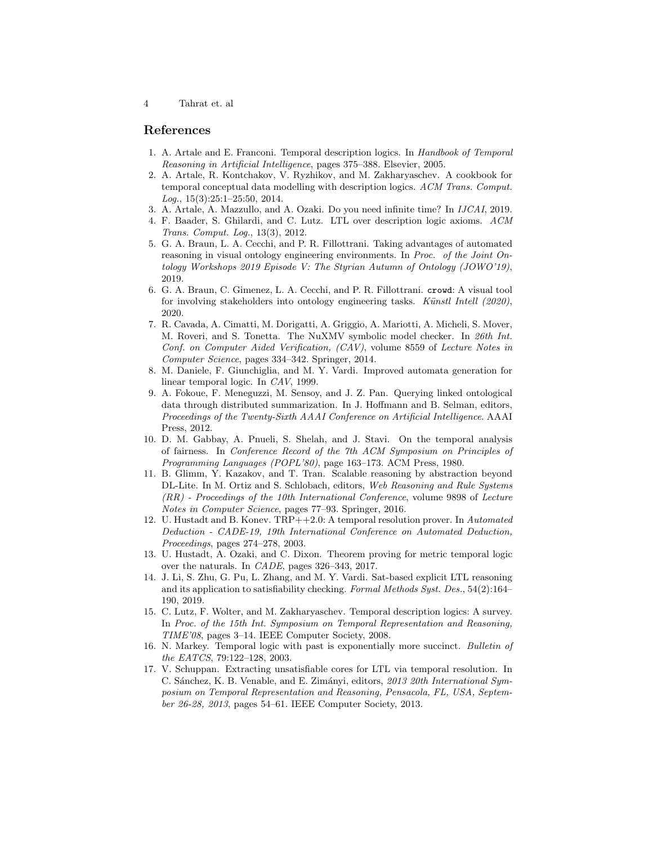4 Tahrat et. al

## References

- 1. A. Artale and E. Franconi. Temporal description logics. In Handbook of Temporal Reasoning in Artificial Intelligence, pages 375–388. Elsevier, 2005.
- 2. A. Artale, R. Kontchakov, V. Ryzhikov, and M. Zakharyaschev. A cookbook for temporal conceptual data modelling with description logics. ACM Trans. Comput. Log., 15(3):25:1–25:50, 2014.
- 3. A. Artale, A. Mazzullo, and A. Ozaki. Do you need infinite time? In IJCAI, 2019.
- 4. F. Baader, S. Ghilardi, and C. Lutz. LTL over description logic axioms. ACM Trans. Comput. Log., 13(3), 2012.
- 5. G. A. Braun, L. A. Cecchi, and P. R. Fillottrani. Taking advantages of automated reasoning in visual ontology engineering environments. In *Proc. of the Joint On*tology Workshops 2019 Episode V: The Styrian Autumn of Ontology (JOWO'19), 2019.
- 6. G. A. Braun, C. Gimenez, L. A. Cecchi, and P. R. Fillottrani. crowd: A visual tool for involving stakeholders into ontology engineering tasks. Künstl Intell (2020), 2020.
- 7. R. Cavada, A. Cimatti, M. Dorigatti, A. Griggio, A. Mariotti, A. Micheli, S. Mover, M. Roveri, and S. Tonetta. The NuXMV symbolic model checker. In 26th Int. Conf. on Computer Aided Verification, (CAV), volume 8559 of Lecture Notes in Computer Science, pages 334–342. Springer, 2014.
- 8. M. Daniele, F. Giunchiglia, and M. Y. Vardi. Improved automata generation for linear temporal logic. In CAV, 1999.
- 9. A. Fokoue, F. Meneguzzi, M. Sensoy, and J. Z. Pan. Querying linked ontological data through distributed summarization. In J. Hoffmann and B. Selman, editors, Proceedings of the Twenty-Sixth AAAI Conference on Artificial Intelligence. AAAI Press, 2012.
- 10. D. M. Gabbay, A. Pnueli, S. Shelah, and J. Stavi. On the temporal analysis of fairness. In Conference Record of the 7th ACM Symposium on Principles of Programming Languages (POPL'80), page 163–173. ACM Press, 1980.
- 11. B. Glimm, Y. Kazakov, and T. Tran. Scalable reasoning by abstraction beyond DL-Lite. In M. Ortiz and S. Schlobach, editors, Web Reasoning and Rule Systems (RR) - Proceedings of the 10th International Conference, volume 9898 of Lecture Notes in Computer Science, pages 77–93. Springer, 2016.
- 12. U. Hustadt and B. Konev. TRP++2.0: A temporal resolution prover. In Automated Deduction - CADE-19, 19th International Conference on Automated Deduction, Proceedings, pages 274–278, 2003.
- 13. U. Hustadt, A. Ozaki, and C. Dixon. Theorem proving for metric temporal logic over the naturals. In CADE, pages 326–343, 2017.
- 14. J. Li, S. Zhu, G. Pu, L. Zhang, and M. Y. Vardi. Sat-based explicit LTL reasoning and its application to satisfiability checking. Formal Methods Syst. Des., 54(2):164– 190, 2019.
- 15. C. Lutz, F. Wolter, and M. Zakharyaschev. Temporal description logics: A survey. In Proc. of the 15th Int. Symposium on Temporal Representation and Reasoning, TIME'08, pages 3–14. IEEE Computer Society, 2008.
- 16. N. Markey. Temporal logic with past is exponentially more succinct. Bulletin of the EATCS, 79:122–128, 2003.
- 17. V. Schuppan. Extracting unsatisfiable cores for LTL via temporal resolution. In C. Sánchez, K. B. Venable, and E. Zimányi, editors, 2013 20th International Symposium on Temporal Representation and Reasoning, Pensacola, FL, USA, September 26-28, 2013, pages 54–61. IEEE Computer Society, 2013.